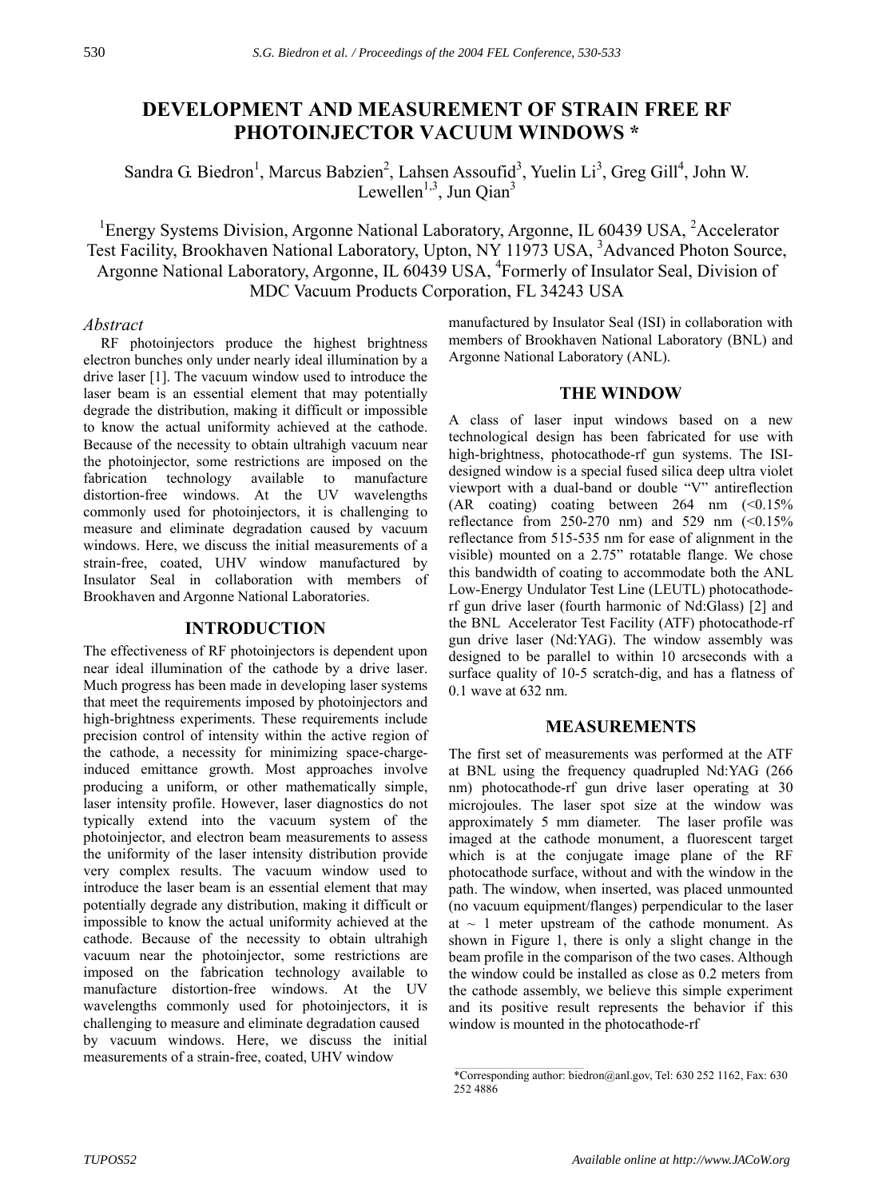# **DEVELOPMENT AND MEASUREMENT OF STRAIN FREE RF PHOTOINJECTOR VACUUM WINDOWS \***

Sandra G. Biedron<sup>1</sup>, Marcus Babzien<sup>2</sup>, Lahsen Assoufid<sup>3</sup>, Yuelin Li<sup>3</sup>, Greg Gill<sup>4</sup>, John W. Lewellen<sup>1,3</sup>, Jun Qian<sup>3</sup>

<sup>1</sup>Energy Systems Division, Argonne National Laboratory, Argonne, IL 60439 USA, <sup>2</sup>Accelerator Test Facility, Brookhaven National Laboratory, Upton, NY 11973 USA, <sup>3</sup>Advanced Photon Source, Argonne National Laboratory, Argonne, IL 60439 USA, <sup>4</sup>Formerly of Insulator Seal, Division of MDC Vacuum Products Corporation, FL 34243 USA

#### *Abstract*

 RF photoinjectors produce the highest brightness electron bunches only under nearly ideal illumination by a drive laser [1]. The vacuum window used to introduce the laser beam is an essential element that may potentially degrade the distribution, making it difficult or impossible to know the actual uniformity achieved at the cathode. Because of the necessity to obtain ultrahigh vacuum near the photoinjector, some restrictions are imposed on the fabrication technology available to manufacture distortion-free windows. At the UV wavelengths commonly used for photoinjectors, it is challenging to measure and eliminate degradation caused by vacuum windows. Here, we discuss the initial measurements of a strain-free, coated, UHV window manufactured by Insulator Seal in collaboration with members of Brookhaven and Argonne National Laboratories.

# **INTRODUCTION**

The effectiveness of RF photoinjectors is dependent upon near ideal illumination of the cathode by a drive laser. Much progress has been made in developing laser systems that meet the requirements imposed by photoinjectors and high-brightness experiments. These requirements include precision control of intensity within the active region of the cathode, a necessity for minimizing space-chargeinduced emittance growth. Most approaches involve producing a uniform, or other mathematically simple, laser intensity profile. However, laser diagnostics do not typically extend into the vacuum system of the photoinjector, and electron beam measurements to assess the uniformity of the laser intensity distribution provide very complex results. The vacuum window used to introduce the laser beam is an essential element that may potentially degrade any distribution, making it difficult or impossible to know the actual uniformity achieved at the cathode. Because of the necessity to obtain ultrahigh vacuum near the photoinjector, some restrictions are imposed on the fabrication technology available to manufacture distortion-free windows. At the UV wavelengths commonly used for photoinjectors, it is challenging to measure and eliminate degradation caused by vacuum windows. Here, we discuss the initial measurements of a strain-free, coated, UHV window

manufactured by Insulator Seal (ISI) in collaboration with members of Brookhaven National Laboratory (BNL) and Argonne National Laboratory (ANL).

## **THE WINDOW**

A class of laser input windows based on a new technological design has been fabricated for use with high-brightness, photocathode-rf gun systems. The ISIdesigned window is a special fused silica deep ultra violet viewport with a dual-band or double "V" antireflection  $(AR \text{ coating})$  coating between 264 nm  $(\leq 0.15\%)$ reflectance from  $250-270$  nm) and  $529$  nm  $(\leq 0.15\%)$ reflectance from 515-535 nm for ease of alignment in the visible) mounted on a  $2.75$ " rotatable flange. We chose this bandwidth of coating to accommodate both the ANL Low-Energy Undulator Test Line (LEUTL) photocathoderf gun drive laser (fourth harmonic of Nd:Glass) [2] and the BNL Accelerator Test Facility (ATF) photocathode-rf gun drive laser (Nd:YAG). The window assembly was designed to be parallel to within 10 arcseconds with a surface quality of 10-5 scratch-dig, and has a flatness of 0.1 wave at 632 nm.

#### **MEASUREMENTS**

The first set of measurements was performed at the ATF at BNL using the frequency quadrupled Nd:YAG (266 nm) photocathode-rf gun drive laser operating at 30 microjoules. The laser spot size at the window was approximately 5 mm diameter. The laser profile was imaged at the cathode monument, a fluorescent target which is at the conjugate image plane of the RF photocathode surface, without and with the window in the path. The window, when inserted, was placed unmounted (no vacuum equipment/flanges) perpendicular to the laser at  $\sim$  1 meter upstream of the cathode monument. As shown in Figure 1, there is only a slight change in the beam profile in the comparison of the two cases. Although the window could be installed as close as 0.2 meters from the cathode assembly, we believe this simple experiment and its positive result represents the behavior if this window is mounted in the photocathode-rf

\_\_\_\_\_\_\_\_\_\_\_\_\_\_\_\_\_\_\_\_\_\_\_\_\_\_\_\_\_\_\_\_\_\_\_\_\_\_\_\_\_\_\_

<sup>\*</sup>Corresponding author: biedron@anl.gov, Tel: 630 252 1162, Fax: 630 252 4886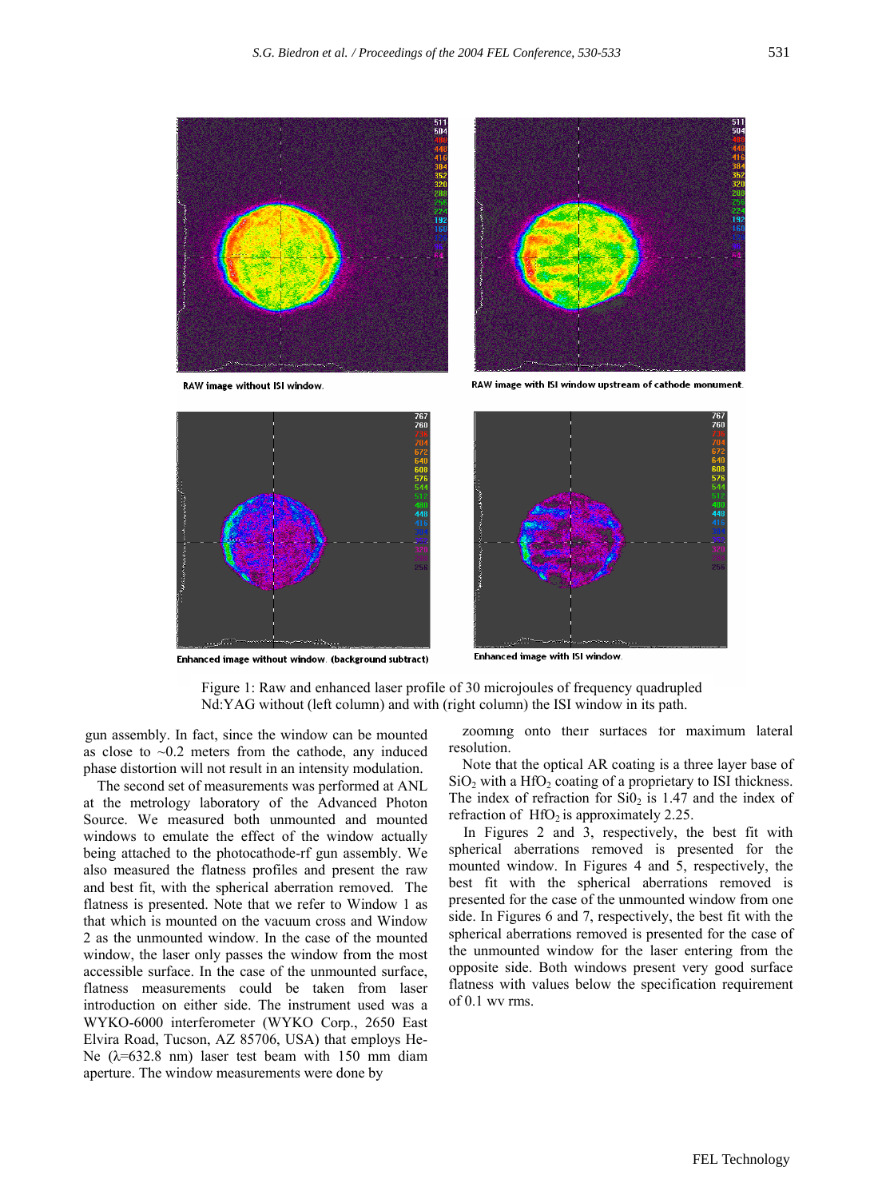

Enhanced image without window. (background subtract)

**Enhanced image with ISI window** 

Nd:YAG without (left column) and with (right column) the ISI window in its path. Figure 1: Raw and enhanced laser profile of 30 microjoules of frequency quadrupled

gun assembly. In fact, since the window can be mounted as close to  $\sim 0.2$  meters from the cathode, any induced phase distortion will not result in an intensity modulation. Note that the optical AR coating is a three layer base of

The second set of measurements was performed at ANL at the metrology laboratory of the Advanced Photon Source. We measured both unmounted and mounted windows to emulate the effect of the window actually being attached to the photocathode-rf gun assembly. We also measured the flatness profiles and present the raw and best fit, with the spherical aberration removed. The flatness is presented. Note that we refer to Window 1 as that which is mounted on the vacuum cross and Window 2 as the unmounted window. In the case of the mounted window, the laser only passes the window from the most accessible surface. In the case of the unmounted surface, flatness measurements could be taken from laser introduction on either side. The instrument used was a WYKO-6000 interferometer (WYKO Corp., 2650 East Elvira Road, Tucson, AZ 85706, USA) that employs He-Ne  $(\lambda = 632.8 \text{ nm})$  laser test beam with 150 mm diam aperture. The window measurements were done by

zooming onto their surfaces for maximum lateral resolution.

 $SiO<sub>2</sub>$  with a HfO<sub>2</sub> coating of a proprietary to ISI thickness. The index of refraction for  $SiO<sub>2</sub>$  is 1.47 and the index of refraction of  $HfO<sub>2</sub>$  is approximately 2.25.

In Figures 2 and 3, respectively, the best fit with spherical aberrations removed is presented for the mounted window. In Figures 4 and 5, respectively, the best fit with the spherical aberrations removed is presented for the case of the unmounted window from one side. In Figures 6 and 7, respectively, the best fit with the spherical aberrations removed is presented for the case of the unmounted window for the laser entering from the opposite side. Both windows present very good surface flatness with values below the specification requirement of 0.1 wv rms.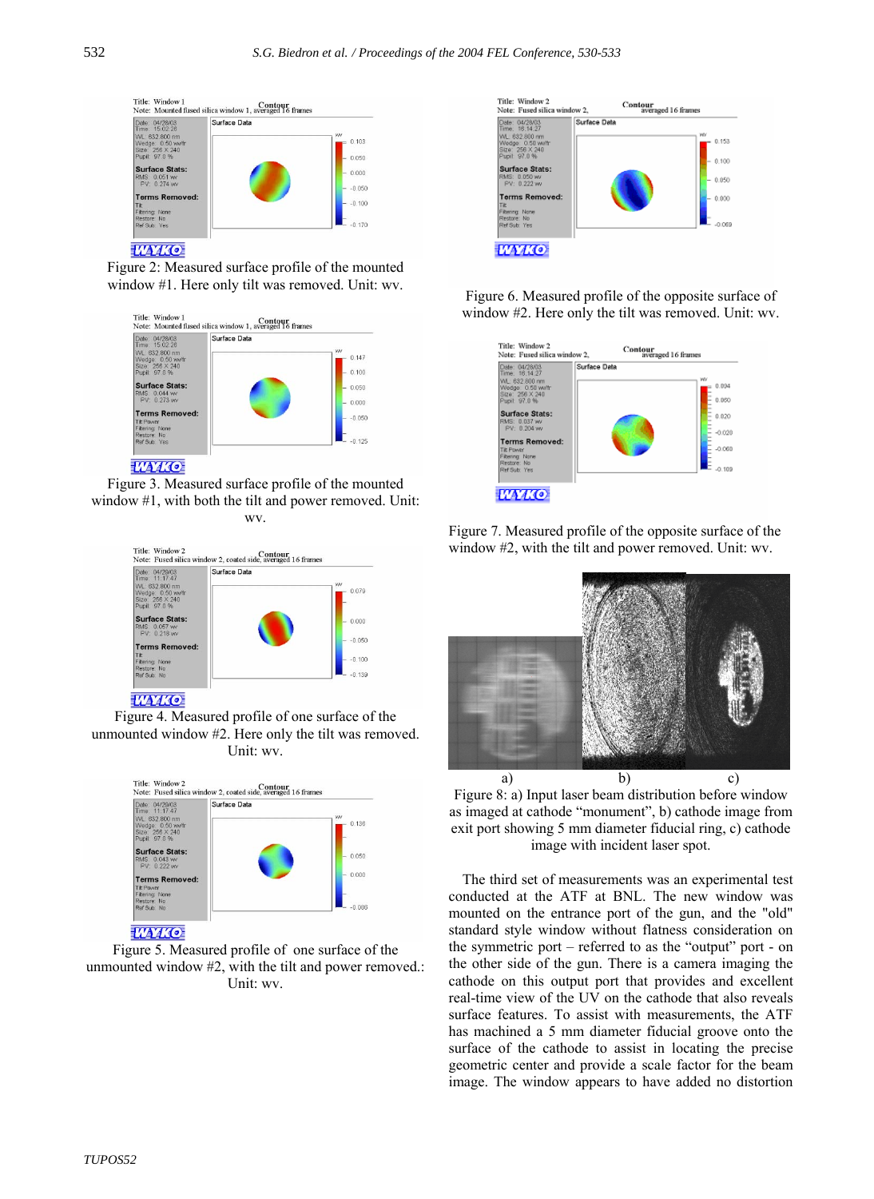

**WYKO** 

Figure 2: Measured surface profile of the mounted window #1. Here only tilt was removed. Unit: wv.



Figure 3. Measured surface profile of the mounted window #1, with both the tilt and power removed. Unit:



**TAMO** 

Figure 4. Measured profile of one surface of the unmounted window #2. Here only the tilt was removed. Unit: wv.



**WYKO** 

Figure 5. Measured profile of one surface of the unmounted window #2, with the tilt and power removed.: Unit: wv.



Figure 6. Measured profile of the opposite surface of window #2. Here only the tilt was removed. Unit: wv.



wv. Figure 7. Measured profile of the opposite surface of the window #2, with the tilt and power removed. Unit: wv.



Figure 8: a) Input laser beam distribution before window as imaged at cathode "monument", b) cathode image from exit port showing 5 mm diameter fiducial ring, c) cathode image with incident laser spot.

The third set of measurements was an experimental test conducted at the ATF at BNL. The new window was mounted on the entrance port of the gun, and the "old" standard style window without flatness consideration on the symmetric port  $-$  referred to as the "output" port - on the other side of the gun. There is a camera imaging the cathode on this output port that provides and excellent real-time view of the UV on the cathode that also reveals surface features. To assist with measurements, the ATF has machined a 5 mm diameter fiducial groove onto the surface of the cathode to assist in locating the precise geometric center and provide a scale factor for the beam image. The window appears to have added no distortion